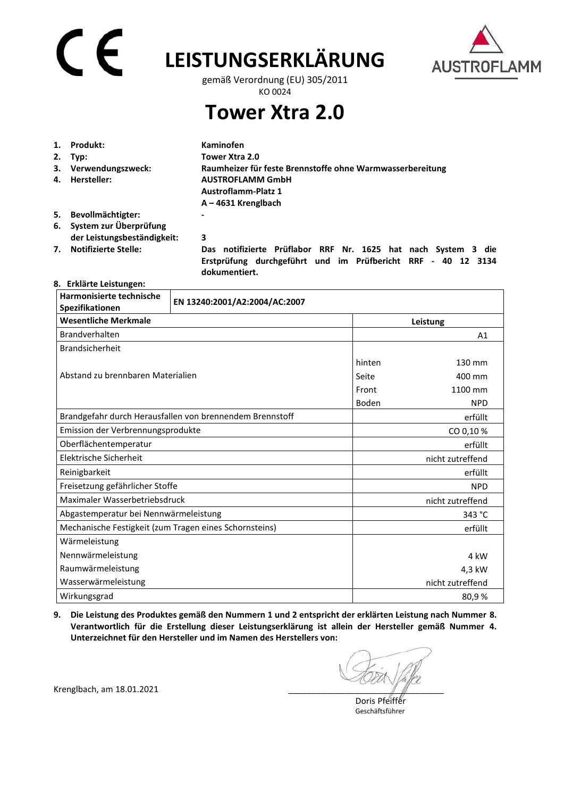# CE

# **LEISTUNGSERKLÄRUNG**



gemäß Verordnung (EU) 305/2011 KO 0024

**Tower Xtra 2.0** 

| 1. | Produkt:                    | Kaminofen                                                 |
|----|-----------------------------|-----------------------------------------------------------|
| 2. | Tvp:                        | Tower Xtra 2.0                                            |
|    | 3. Verwendungszweck:        | Raumheizer für feste Brennstoffe ohne Warmwasserbereitung |
| 4. | Hersteller:                 | <b>AUSTROFLAMM GmbH</b>                                   |
|    |                             | <b>Austroflamm-Platz 1</b>                                |
|    |                             | $A - 4631$ Krenglbach                                     |
| 5. | Bevollmächtigter:           | -                                                         |
| 6. | System zur Überprüfung      |                                                           |
|    | der Leistungsbeständigkeit: | 3                                                         |

**7. Notifizierte Stelle: Das notifizierte Prüflabor RRF Nr. 1625 hat nach System 3 die Erstprüfung durchgeführt und im Prüfbericht RRF - 40 12 3134 dokumentiert.** 

### **8. Erklärte Leistungen:**

| Harmonisierte technische<br>Spezifikationen            | EN 13240:2001/A2:2004/AC:2007                            |                  |                  |  |
|--------------------------------------------------------|----------------------------------------------------------|------------------|------------------|--|
| <b>Wesentliche Merkmale</b>                            |                                                          |                  | Leistung         |  |
| Brandverhalten                                         |                                                          |                  | A1               |  |
| <b>Brandsicherheit</b>                                 |                                                          |                  |                  |  |
| Abstand zu brennbaren Materialien                      |                                                          | hinten           | 130 mm           |  |
|                                                        |                                                          | Seite            | 400 mm           |  |
|                                                        |                                                          | Front            | 1100 mm          |  |
|                                                        |                                                          | Boden            | <b>NPD</b>       |  |
|                                                        | Brandgefahr durch Herausfallen von brennendem Brennstoff |                  | erfüllt          |  |
| Emission der Verbrennungsprodukte                      |                                                          |                  | CO 0,10%         |  |
| Oberflächentemperatur                                  |                                                          |                  | erfüllt          |  |
| Elektrische Sicherheit                                 |                                                          |                  | nicht zutreffend |  |
| Reinigbarkeit                                          |                                                          | erfüllt          |                  |  |
| Freisetzung gefährlicher Stoffe                        |                                                          | <b>NPD</b>       |                  |  |
| Maximaler Wasserbetriebsdruck                          |                                                          | nicht zutreffend |                  |  |
| Abgastemperatur bei Nennwärmeleistung                  |                                                          |                  | 343 °C           |  |
| Mechanische Festigkeit (zum Tragen eines Schornsteins) |                                                          |                  | erfüllt          |  |
| Wärmeleistung                                          |                                                          |                  |                  |  |
| Nennwärmeleistung                                      |                                                          |                  | 4 kW             |  |
| Raumwärmeleistung                                      |                                                          |                  | 4,3 kW           |  |
| Wasserwärmeleistung                                    |                                                          |                  | nicht zutreffend |  |
| Wirkungsgrad                                           |                                                          |                  | 80,9%            |  |

**9. Die Leistung des Produktes gemäß den Nummern 1 und 2 entspricht der erklärten Leistung nach Nummer 8. Verantwortlich für die Erstellung dieser Leistungserklärung ist allein der Hersteller gemäß Nummer 4. Unterzeichnet für den Hersteller und im Namen des Herstellers von:** 

 Doris Pfeiffer Geschäftsführer

Krenglbach, am 18.01.2021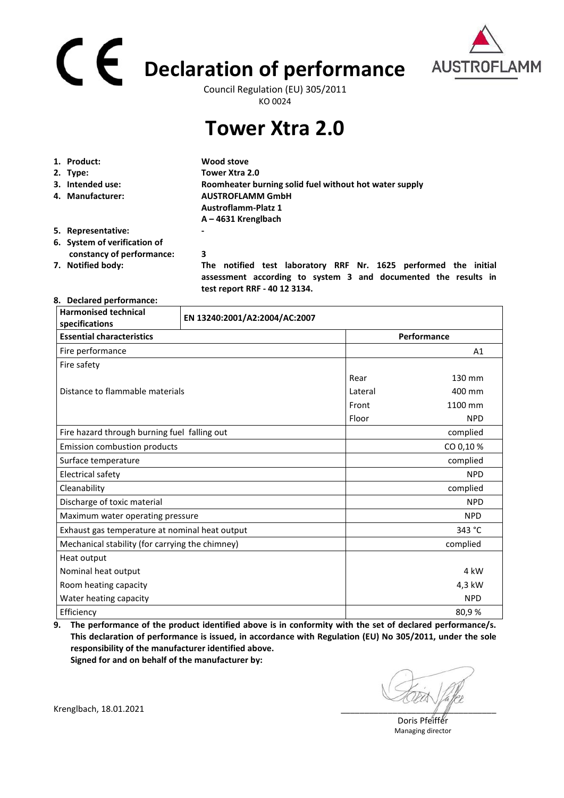# **Declaration of performance**  Council Regulation (EU) 305/2011



KO 0024

## **Tower Xtra 2.0**

|                                             | 1. Product:                  | Wood stove                                                                                                                        |
|---------------------------------------------|------------------------------|-----------------------------------------------------------------------------------------------------------------------------------|
|                                             | 2. Type:                     | Tower Xtra 2.0                                                                                                                    |
|                                             | 3. Intended use:             | Roomheater burning solid fuel without hot water supply                                                                            |
| <b>AUSTROFLAMM GmbH</b><br>4. Manufacturer: |                              |                                                                                                                                   |
|                                             |                              | <b>Austroflamm-Platz 1</b>                                                                                                        |
|                                             |                              | $A - 4631$ Krenglbach                                                                                                             |
|                                             | 5. Representative:           | ۰                                                                                                                                 |
|                                             | 6. System of verification of |                                                                                                                                   |
|                                             | constancy of performance:    | 3                                                                                                                                 |
|                                             | 7. Notified body:            | The notified test laboratory RRF Nr. 1625 performed the initial<br>assessment according to system 3 and documented the results in |

 **test report RRF - 40 12 3134.** 

#### **8. Declared performance:**

| <b>Harmonised technical</b><br>specifications   | EN 13240:2001/A2:2004/AC:2007 |         |             |  |
|-------------------------------------------------|-------------------------------|---------|-------------|--|
| <b>Essential characteristics</b>                |                               |         | Performance |  |
| Fire performance                                |                               |         | A1          |  |
| Fire safety                                     |                               |         |             |  |
|                                                 |                               | Rear    | 130 mm      |  |
| Distance to flammable materials                 |                               | Lateral | 400 mm      |  |
|                                                 |                               | Front   | 1100 mm     |  |
|                                                 |                               | Floor   | <b>NPD</b>  |  |
| Fire hazard through burning fuel falling out    |                               |         | complied    |  |
| Emission combustion products                    |                               |         | CO 0,10%    |  |
| Surface temperature                             |                               |         | complied    |  |
| Electrical safety                               |                               |         | <b>NPD</b>  |  |
| Cleanability                                    |                               |         | complied    |  |
| Discharge of toxic material                     |                               |         | <b>NPD</b>  |  |
| Maximum water operating pressure                |                               |         | <b>NPD</b>  |  |
| Exhaust gas temperature at nominal heat output  |                               |         | 343 °C      |  |
| Mechanical stability (for carrying the chimney) |                               |         | complied    |  |
| Heat output                                     |                               |         |             |  |
| Nominal heat output                             |                               |         | 4 kW        |  |
| Room heating capacity                           |                               |         | 4,3 kW      |  |
| Water heating capacity                          |                               |         | <b>NPD</b>  |  |
| Efficiency                                      |                               |         | 80,9%       |  |

**9. The performance of the product identified above is in conformity with the set of declared performance/s. This declaration of performance is issued, in accordance with Regulation (EU) No 305/2011, under the sole responsibility of the manufacturer identified above.** 

**Signed for and on behalf of the manufacturer by:**

Doris Pfeiffer Managing director

Krenglbach, 18.01.2021